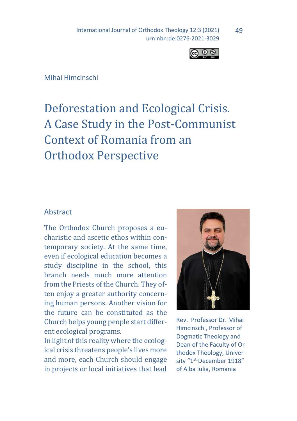International Journal of Orthodox Theology 12:3 (2021) urn:nbn:de:0276-2021-3029



### Mihai Himcinschi

# Deforestation and Ecological Crisis. A Case Study in the Post-Communist Context of Romania from an Orthodox Perspective

#### **Abstract**

The Orthodox Church proposes a eucharistic and ascetic ethos within contemporary society. At the same time, even if ecological education becomes a study discipline in the school, this branch needs much more attention from the Priests of the Church. They often enjoy a greater authority concerning human persons. Another vision for the future can be constituted as the Church helps young people start different ecological programs.

In light of this reality where the ecological crisis threatens people's lives more and more, each Church should engage in projects or local initiatives that lead



Rev. Professor Dr. Mihai Himcinschi, Professor of Dogmatic Theology and Dean of the Faculty of Orthodox Theology, University "1<sup>st</sup> December 1918" of Alba Iulia, Romania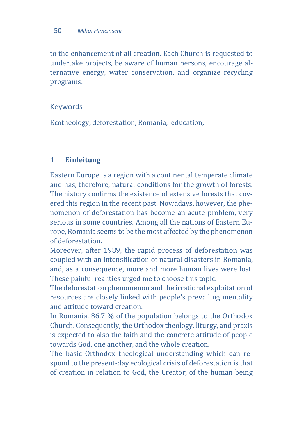to the enhancement of all creation. Each Church is requested to undertake projects, be aware of human persons, encourage alternative energy, water conservation, and organize recycling programs.

# Keywords

Ecotheology, deforestation, Romania, education,

# **1 Einleitung**

Eastern Europe is a region with a continental temperate climate and has, therefore, natural conditions for the growth of forests. The history confirms the existence of extensive forests that covered this region in the recent past. Nowadays, however, the phenomenon of deforestation has become an acute problem, very serious in some countries. Among all the nations of Eastern Europe, Romania seems to be the most affected by the phenomenon of deforestation.

Moreover, after 1989, the rapid process of deforestation was coupled with an intensification of natural disasters in Romania, and, as a consequence, more and more human lives were lost. These painful realities urged me to choose this topic.

The deforestation phenomenon and the irrational exploitation of resources are closely linked with people's prevailing mentality and attitude toward creation.

In Romania, 86,7 % of the population belongs to the Orthodox Church. Consequently, the Orthodox theology, liturgy, and praxis is expected to also the faith and the concrete attitude of people towards God, one another, and the whole creation.

The basic Orthodox theological understanding which can respond to the present-day ecological crisis of deforestation is that of creation in relation to God, the Creator, of the human being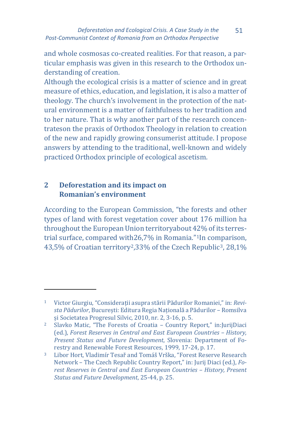and whole cosmosas co-created realities. For that reason, a particular emphasis was given in this research to the Orthodox understanding of creation.

Although the ecological crisis is a matter of science and in great measure of ethics, education, and legislation, it is also a matter of theology. The church's involvement in the protection of the natural environment is a matter of faithfulness to her tradition and to her nature. That is why another part of the research concentrateson the praxis of Orthodox Theology in relation to creation of the new and rapidly growing consumerist attitude. I propose answers by attending to the traditional, well-known and widely practiced Orthodox principle of ecological ascetism.

# **2 Deforestation and its impact on Romanian's environment**

 $\overline{a}$ 

According to the European Commission, "the forests and other types of land with forest vegetation cover about 176 million ha throughout the European Union territoryabout 42% of its terrestrial surface, compared with26,7% in Romania."[1I](#page-2-0)n comparison, 43,5% of Croatian territory<sup>[2](#page-2-1)</sup>,[3](#page-3-0)3% of the Czech Republic<sup>3</sup>, 28,1%

51

<span id="page-2-0"></span><sup>1</sup> Victor Giurgiu, "Considerații asupra stării Pădurilor Romaniei," in: *Revista Pădurilor*, București: Editura Regia Națională a Pădurilor – Romsilva și Societatea Progresul Silvic, 2010, nr. 2, 3-16, p. 5.

<span id="page-2-1"></span><sup>2</sup> Slavko Matic, "The Forests of Croatia – Country Report," in:JurijDiaci (ed.), *Forest Reserves in Central and East European Countries – History, Present Status and Future Development*, Slovenia: Department of Forestry and Renewable Forest Resources, 1999, 17-24, p. 17.

<sup>3</sup> Libor Hort, Vladimír Tesař and Tomáš Vrška, "Forest Reserve Research Network – The Czech Republic Country Report," in: Jurij Diaci (ed.), *Forest Reserves in Central and East European Countries - History, Present Status and Future Development*, 25-44, p. 25.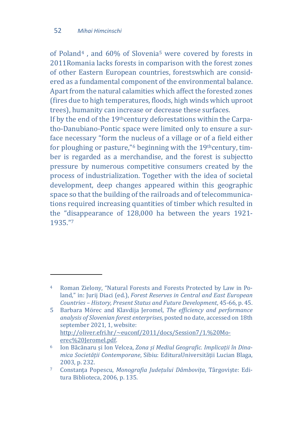<span id="page-3-0"></span> $\overline{a}$ 

of Poland[4](#page-3-1) , and 60% of Slovenia[5](#page-3-2) were covered by forests in 2011Romania lacks forests in comparison with the forest zones of other Eastern European countries, forestswhich are considered as a fundamental component of the environmental balance. Apart from the natural calamities which affect the forested zones (fires due to high temperatures, floods, high winds which uproot trees), humanity can increase or decrease these surfaces.

If by the end of the 19thcentury deforestations within the Carpatho-Danubiano-Pontic space were limited only to ensure a surface necessary "form the [nu](#page-3-3)cleus of a village or of a field either for ploughing or pasture," $6$  beginning with the 19<sup>th</sup> century, timber is regarded as a merchandise, and the forest is subjectto pressure by numerous competitive consumers created by the process of industrialization. Together with the idea of societal development, deep changes appeared within this geographic space so that the building of the railroads and of telecommunications required increasing quantities of timber which resulted in the "d[is](#page-4-0)appearance of 128,000 ha between the years 1921- 1935."7

<sup>4</sup> Roman Zielony, "Natural Forests and Forests Protected by Law in Poland," in: Jurij Diaci (ed.), *Forest Reserves in Central and East European Countries – History, Present Status and Future Development*, 45-66, p. 45.

<span id="page-3-2"></span><span id="page-3-1"></span><sup>5</sup> Barbara Mörec and Klavdija Jeromel, *The efficiency and performance analysis of Slovenian forest enterprises*, posted no date, accessed on 18th september 2021, 1, website: [http://oliver.efri.hr/~euconf/2011/docs/Session7/1.%20Mo](http://oliver.efri.hr/%7Eeuconf/2011/docs/Session7/1.%20Moerec%20Jeromel.pdf)[erec%20Jeromel.pdf](http://oliver.efri.hr/%7Eeuconf/2011/docs/Session7/1.%20Moerec%20Jeromel.pdf).

<sup>6</sup> Ion Băcănaru și Ion Velcea, *Zona și Mediul Geografic. Implicații în Dinamica Societății Contemporane*, Sibiu: EdituraUniversității Lucian Blaga, 2003, p. 232.

<span id="page-3-3"></span><sup>7</sup> Constanța Popescu, *Monografia Județului Dâmbovița*, Târgoviște: Editura Biblioteca, 2006, p. 135.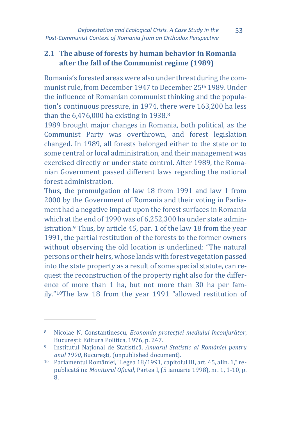# **2.1 The abuse of forests by human behavior in Romania after the fall of the Communist regime (1989)**

Romania's forested areas were also under threat during the communist rule, from December 1947 to December 25th 1989. Under the influence of Romanian communist thinking and the population's continuous pressure, in 1974, th[e](#page-4-1)re were 163,200 ha less than the 6,476,000 ha existing in 1938.<sup>8</sup>

1989 brought major changes in Romania, both political, as the Communist Party was overthrown, and forest legislation changed. In 1989, all forests belonged either to the state or to some central or local administration, and their management was exercised directly or under state control. After 1989, the Romanian Government passed different laws regarding the national forest administration.

Thus, the promulgation of law 18 from 1991 and law 1 from 2000 by the Government of Romania and their voting in Parliament had a negative impact upon the forest surfaces in Romania which at the end of 1990 was of 6,252,300 ha under state administration[.9](#page-4-2) Thus, by article 45, par. 1 of the law 18 from the year 1991, the partial restitution of the forests to the former owners without observing the old location is underlined: "The natural persons or their heirs, whose lands with forest vegetation passed into the state property as a result of some special statute, can request the reconstruction of the property right also for the difference of more than 1 ha, but not more than 30 ha per family."[10T](#page-5-0)he law 18 from the year 1991 "allowed restitution of

<sup>8</sup> Nicolae N. Constantinescu, *Economia protecției mediului înconjurător*, București: Editura Politica, 1976, p. 247.

<span id="page-4-1"></span><span id="page-4-0"></span><sup>9</sup> Institutul Național de Statistică, *Anuarul Statistic al României pentru anul 1990*, București, (unpublished document).

<span id="page-4-2"></span><sup>10</sup> Parlamentul României, "Legea 18/1991, capitolul III, art. 45, alin. 1," republicată in: *Monitorul Oficial*, Partea I, (5 ianuarie 1998), nr. 1, 1-10, p. 8.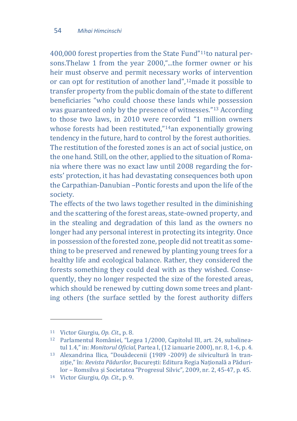400,000 forest properties from the State Fund"[11](#page-5-1)to natural persons.Thelaw 1 from the year 2000,"...the former owner or his heir must observe and permit necessary works of intervention or can opt for restitution of another land",[12m](#page-5-2)ade it possible to transfer property from the public domain of the state to different beneficiaries "who could choose these lands while possession was guaranteed only by the presence of witnesses."[13](#page-5-3) According to those two laws, in 2010 were recorded "1 million owners whose forests had been restituted,"<sup>[14](#page-5-4)</sup>an exponentially growing tendency in the future, hard to control by the forest authorities. The restitution of the forested zones is an act of social justice, on the one hand. Still, on the other, applied to the situation of Romania where there was no exact law until 2008 regarding the forests' protection, it has had devastating consequences both upon the Carpathian-Danubian –Pontic forests and upon the life of the society.

The effects of the two laws together resulted in the diminishing and the scattering of the forest areas, state-owned property, and in the stealing and degradation of this land as the owners no longer had any personal interest in protecting its integrity. Once in possession of the forested zone, people did not treatit as something to be preserved and renewed by planting young trees for a healthy life and ecological balance. Rather, they considered the forests something they could deal with as they wished. Consequently, they no longer respected the size of the forested areas. which should be renewed by cutting down some trees and planting others (the surface settled by the forest authority differs

<span id="page-5-0"></span> $\overline{\phantom{a}}$ 

<span id="page-5-1"></span><sup>11</sup> Victor Giurgiu, *Op. Cit*., p. 8.

<span id="page-5-2"></span><sup>12</sup> Parlamentul României, "Legea 1/2000, Capitolul III, art. 24, subalineatul 1.4," in: *Monitorul Oficial*, Partea I, (12 ianuarie 2000), nr. 8, 1-6, p. 4.

<span id="page-5-3"></span><sup>13</sup> Alexandrina Ilica, "Douădecenii (1989 -2009) de silvicultură în tranziție," în: *Revista Pădurilor*, București: Editura Regia Națională a Pădurilor – Romsilva și Societatea "Progresul Silvic", 2009, nr. 2, 45-47, p. 45.

<span id="page-5-4"></span><sup>14</sup> Victor Giurgiu, *Op. Cit*., p. 9.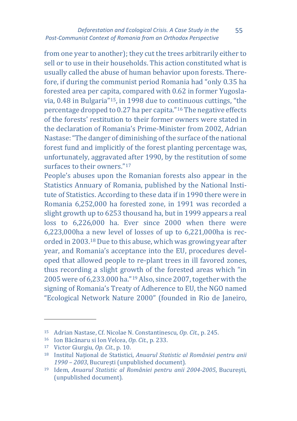#### *Deforestation and Ecological Crisis. A Case Study in the Post-Communist Context of Romania from an Orthodox Perspective*

55

from one year to another); they cut the trees arbitrarily either to sell or to use in their households. This action constituted what is usually called the abuse of human behavior upon forests. Therefore, if during the communist period Romania had "only 0.35 ha forested area per capita, compared with 0.62 in former Yugoslavia, 0.48 in Bulgaria"[15,](#page-6-0) in 1998 due to co[nti](#page-6-1)nuous cuttings, "the percentage dropped to 0.27 ha per capita."16 The negative effects of the forests' restitution to their former owners were stated in the declaration of Romania's Prime-Minister from 2002, Adrian Nastase: "The danger of diminishing of the surface of the national forest fund and implicitly of the forest planting percentage was, unfortunately, aggravated after 1990, by the restitution of some surfaces to their owners."<sup>[17](#page-6-2)</sup>

People's abuses upon the Romanian forests also appear in the Statistics Annuary of Romania, published by the National Institute of Statistics. According to these data if in 1990 there were in Romania 6,252,000 ha forested zone, in 1991 was recorded a slight growth up to 6253 thousand ha, but in 1999 appears a real loss to 6,226,000 ha. Ever since 2000 when there were 6,223,000ha a new level of losses of up to 6,221,000ha is recorded in 2003.[18](#page-7-0) Due to this abuse, which was growing year after year, and Romania's acceptance into the EU, procedures developed that allowed people to re-plant trees in ill favored zones, thus recording a slight growth of the forested areas which "in 2005 were of 6,233.000 ha."[19](#page-7-1) Also, since 2007, together with the signing of Romania's Treaty of Adherence to EU, the NGO named "Ecological Network Nature 2000" (founded in Rio de Janeiro,

<sup>15</sup> Adrian Nastase, Cf. Nicolae N. Constantinescu, *Op. Cit.*, p. 245.

<sup>16</sup> Ion Băcănaru si Ion Velcea, *Op. Cit.*, p. 233.

<sup>17</sup> Victor Giurgiu, *Op. Cit*., p. 10.

<span id="page-6-0"></span><sup>18</sup> Institul Național de Statistici, *Anuarul Statistic al României pentru anii 1990 – 2003*, București (unpublished document).

<span id="page-6-2"></span><span id="page-6-1"></span><sup>19</sup> Idem, *Anuarul Statistic al României pentru anii 2004-2005*, București, (unpublished document).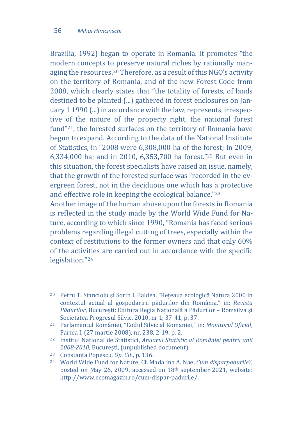Brazilia, 1992) began to operate in Romania. It promotes "the modern concepts to preserve natural riches by rationally managing the resources.[20](#page-7-2) Therefore, as a result of this NGO's activity on the territory of Romania, and of the new Forest Code from 2008, which clearly states that "the totality of forests, of lands destined to be planted (...) gathered in forest enclosures on January 1 1990 (...) in accordance with the law, represents, irrespective of the nature of the property right, the national forest fund"[21,](#page-7-3) the forested surfaces on the territory of Romania have begun to expand. According to the data of the National Institute of Statistics, in "2008 were 6,308,000 ha of the forest; in 2009, 6,334,000 ha; and in 2010, 6,353,700 ha forest."[22](#page-7-4) But even in this situation, the forest specialists have raised an issue, namely, that the growth of the forested surface was "recorded in the evergreen forest, not in the deciduous one which has a protective and effective role in keeping the ecological balance."[23](#page-7-5)

Another image of the human abuse upon the forests in Romania is reflected in the study made by the World Wide Fund for Nature, according to which since 1990, "Romania has faced serious problems regarding illegal cutting of trees, especially within the context of restitutions to the former owners and that only 60% of the activities are carried out in accordance with the specific legislation."[24](#page-8-0)

<span id="page-7-0"></span><sup>20</sup> Petru T. Stancioiu și Sorin I. Baldea, "Rețeaua ecologică Natura 2000 in contextul actual al gospodaririi pădurilor din România," in: *Revista Pădurilor*, București: Editura Regia Națională a Pădurilor – Romsilva și Societatea Progresul Silvic, 2010, nr 1, 37-41, p. 37.

<span id="page-7-2"></span><span id="page-7-1"></span><sup>21</sup> Parlamentul României, "Codul Silvic al Romaniei," in: *Monitorul Oficial*,

Partea I, (27 martie 2008), nr. 238, 2-19, p. 2. 22 Institul Național de Statistici, *Anuarul Statistic al României pentru anii 2008-2010*, București, (unpublished document).

<span id="page-7-3"></span><sup>23</sup> Constanța Popescu, *Op. Cit.*, p. 136.

<span id="page-7-5"></span><span id="page-7-4"></span><sup>24</sup> World Wide Fund for Nature, Cf. Madalina A. Nae, *Cum disparpadurile?*, posted on May 26, 2009, accessed on 18th september 2021, website: [http://www.ecomagazin.ro/cum](http://www.ecomagazin.ro/cum-dispar-padurile/)-dispar-padurile/.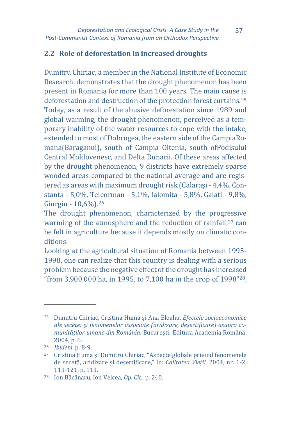# **2.2 Role of deforestation in increased droughts**

Dumitru Chiriac, a member in the National Institute of Economic Research, demonstrates that the drought phenomenon has been present in Romania for more than 100 years. The main cause is deforestation and destruction of the protection forest curtains.[25](#page-8-1) Today, as a result of the abusive deforestation since 1989 and global warming, the drought phenomenon, perceived as a temporary inability of the water resources to cope with the intake, extended to most of Dobrogea, the eastern side of the CampiaRomana(Baraganul), south of Campia Oltenia, south ofPodisului Central Moldovenesc, and Delta Dunarii. Of these areas affected by the drought phenomenon, 9 districts have extremely sparse wooded areas compared to the national average and are registered as areas with maximum drought risk (Calaraşi - 4,4%, Constanta - 5,0%, Teleorman - 5,1%, Ialomita - 5,8%, Galati - 9,8%, Giurgiu - 10,6%).[26](#page-8-2)

The drought phenomenon, characterized by the progressive warming of the atmosphere and the reduction of rainfall,<sup>27</sup> can be felt in agriculture because it depends mostly on climatic conditions.

Looking at the agricultural situation of Romania between 1995- 1998, one can realize that this country is dealing with a serious problem because the negative effect of the drought has increased "from 3,900,000 ha, in 1995, to 7,100 ha in the crop of 1998"[28,](#page-9-0)

<span id="page-8-1"></span><span id="page-8-0"></span><sup>25</sup> Dumitru Chiriac, Cristina Huma și Ana Bleahu, *Efectele socioeconomice ale secetei și fenomenelor associate (aridizare, deșertificare) asupra comunităților umane din România*, București: Editura Academia Română,

<span id="page-8-3"></span><span id="page-8-2"></span><sup>&</sup>lt;sup>26</sup> *Ibidem*, p. 8-9.<br><sup>27</sup> Cristina Huma și Dumitru Chiriac, "Aspecte globale privind fenomenele de secetă, aridizare și deșertificare," in: *Calitatea Vieții*, 2004, nr. 1-2,

<sup>113-121,</sup> p. 113. 28 Ion Băcănaru, Ion Velcea, *Op. Cit.*, p. 240.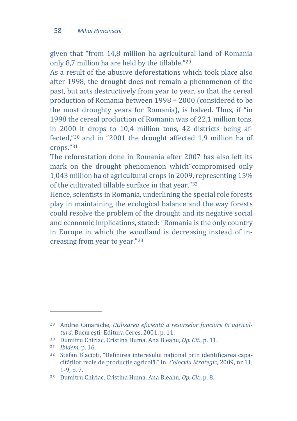given that "from 14,8 million ha agricultural land of Romania only 8,7 million ha are held by the tillable."[29](#page-9-1)

As a result of the abusive deforestations which took place also after 1998, the drought does not remain a phenomenon of the past, but acts destructively from year to year, so that the cereal production of Romania between 1998 – 2000 (considered to be the most droughty years for Romania), is halved. Thus, if "in 1998 the cereal production of Romania was of 22,1 million tons, in 2000 it drops to 10,4 million tons, 42 districts being affected,"[30](#page-9-2) and in "2001 the drought affected 1,9 million ha of crops."[31](#page-9-3)

The reforestation done in Romania after 2007 has also left its mark on the drought phenomenon which"compromised only 1,043 million ha of agricultural crops in 200[9, r](#page-9-4)epresenting 15% of the cultivated tillable surface in that year."32

Hence, scientists in Romania, underlining the special role forests play in maintaining the ecological balance and the way forests could resolve the problem of the drought and its negative social and economic implications, stated: "Romania is the only country in Europe in which the woodland is decreasing instead of increasing from year to year."[33](#page-10-0)

 $\overline{\phantom{a}}$ 

<span id="page-9-1"></span><span id="page-9-0"></span><sup>29</sup> Andrei Canarache, *Utilizarea eficientă a resurselor funciare în agricultură*, București: Editura Ceres, 2001, p. 11.

<sup>30</sup> Dumitru Chiriac, Cristina Huma, Ana Bleahu, *Op. Cit.*, p. 11.

<span id="page-9-2"></span><sup>31</sup> *Ibidem*, p. 16.

<span id="page-9-4"></span><span id="page-9-3"></span><sup>32</sup> Stefan Blacioti, "Definirea interesului național prin identificarea capacităților reale de producție agricolă," in: *Colocviu Strategic*, 2009, nr 11, 1-9, p. 7.

<sup>33</sup> Dumitru Chiriac, Cristina Huma, Ana Bleahu, *Op. Cit.*, p. 8.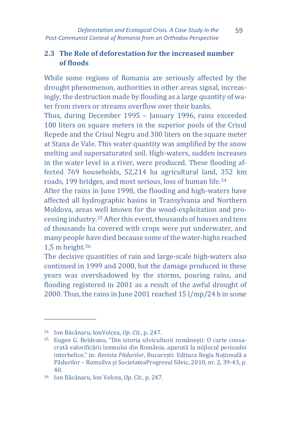# **2.3 The Role of deforestation for the increased number of floods**

While some regions of Romania are seriously affected by the drought phenomenon, authorities in other areas signal, increasingly, the destruction made by flooding as a large quantity of water from rivers or streams overflow over their banks.

Thus, during December 1995 – January 1996, rains exceeded 100 liters on square meters in the superior pools of the Crisul Repede and the Crisul Negru and 300 liters on the square meter at Stana de Vale. This water quantity was amplified by the snow melting and supersaturated soil. High-waters, sudden increases in the water level in a river, were produced. These flooding affected 769 households, 52,214 ha agricultural land, 352 km roads, 199 bridges, and most serious, loss of human life[.34](#page-10-1)

After the rains in June 1998, the flooding and high-waters have affected all hydrographic basins in Transylvania and Northern Moldova, areas well known for the wood-exploitation and processing industry.[35](#page-10-2) After this event, thousands of houses and tens of thousands ha covered with crops were put underwater, and many people have died because some of the water-highs reached 1,5 m height.[36](#page-11-0)

The decisive quantities of rain and large-scale high-waters also continued in 1999 and 2000, but the damage produced in these years was overshadowed by the storms, pouring rains, and flooding registered in 2001 as a result of the awful drought of 2000. Thus, the rains in June 2001 reached 15 l/mp/24 h in some

<span id="page-10-0"></span><sup>34</sup> Ion Băcănaru, IonVelcea, *Op. Cit.*, p. 247.

<span id="page-10-2"></span><span id="page-10-1"></span><sup>35</sup> Eugen G. Beldeanu, "Din istoria silviculturii românești: O carte consacrată valorificării lemnului din România, aparută la mijlocul perioadei interbelice," in: *Revista Pădurilor*, București: Editura Regia Națională a Pădurilor – Romsilva și SocietateaProgresul Silvic, 2010, nr. 2, 39-43, p. 40.

<sup>36</sup> Ion Băcănaru, Ion Velcea, *Op. Cit.*, p. 247.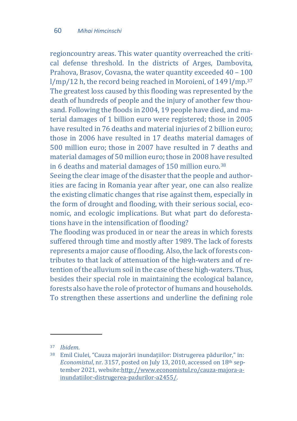regioncountry areas. This water quantity overreached the critical defense threshold. In the districts of Arges, Dambovita, Prahova, Brasov, Covasna, the water quantity exceeded 40 – 1[00](#page-11-1) l/mp/12 h, the record being reached in Moroieni, of 149 l/mp.<sup>37</sup> The greatest loss caused by this flooding was represented by the death of hundreds of people and the injury of another few thousand. Following the floods in 2004, 19 people have died, and material damages of 1 billion euro were registered; those in 2005 have resulted in 76 deaths and material injuries of 2 billion euro; those in 2006 have resulted in 17 deaths material damages of 500 million euro; those in 2007 have resulted in 7 deaths and material damages of 50 million euro; those in 2008 have resulted in 6 deaths and material damages of 150 million euro.<sup>[38](#page-11-2)</sup>

Seeing the clear image of the disaster that the people and authorities are facing in Romania year after year, one can also realize the existing climatic changes that rise against them, especially in the form of drought and flooding, with their serious social, economic, and ecologic implications. But what part do deforestations have in the intensification of flooding?

The flooding was produced in or near the areas in which forests suffered through time and mostly after 1989. The lack of forests represents a major cause of flooding. Also, the lack of forests contributes to that lack of attenuation of the high-waters and of retention of the alluvium soil in the case of these high-waters. Thus, besides their special role in maintaining the ecological balance, forests also have the role of protector of humans and households. To strengthen these assertions and underline the defining role

l

<span id="page-11-1"></span><span id="page-11-0"></span><sup>37</sup> *Ibidem*.

<span id="page-11-2"></span><sup>38</sup> Emil Ciulei, "Cauza majorări inundațiilor: Distrugerea pădurilor," in: *Economistul*, nr. 3157, posted on July 13, 2010, accessed on 18th september 2021, website[:http://www.economistul.ro/cauza](http://www.economistul.ro/cauza-majora-a-inundatiilor-distrugerea-padurilor-a2455/)-majora-a[inundatiilor-distrugerea-padurilor-](http://www.economistul.ro/cauza-majora-a-inundatiilor-distrugerea-padurilor-a2455/)a2455/.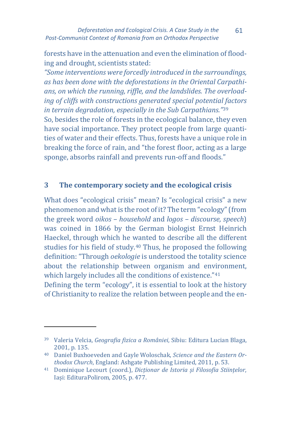forests have in the attenuation and even the elimination of flooding and drought, scientists stated:

*"Some interventions were forcedly introduced in the surroundings, as has been done with the deforestations in the Oriental Carpathians, on which the running, riffle, and the landslides. The overloading of cliffs with constructions generated special potentia[l fa](#page-12-0)ctors in terrain degradation, especially in the Sub Carpathians."*<sup>39</sup> So, besides the role of forests in the ecological balance, they even have social importance. They protect people from large quantities of water and their effects. Thus, forests have a unique role in breaking the force of rain, and "the forest floor, acting as a large sponge, absorbs rainfall and prevents run-off and floods."

# **3 The contemporary society and the ecological crisis**

What does "ecological crisis" mean? Is "ecological crisis" a new phenomenon and what is the root of it? The term "ecology" (from the greek word *oikos* – *household* and *logos* – *discourse, speech*) was coined in 1866 by the German biologist Ernst Heinrich Haeckel, through which he wanted to describe all the different studies for his field of study.[40](#page-12-1) Thus, he proposed the following definition: "Through *oekologie* is understood the totality science about the relationship between organism and environment, which largely includes all the conditions of existence."<sup>[41](#page-13-0)</sup> Defining the term "ecology", it is essential to look at the history of Christianity to realize the relation between people and the en-

 $\ddot{\phantom{a}}$ 

<sup>39</sup> Valeria Velcia, *Geografia fizica a României*, Sibiu: Editura Lucian Blaga, 2001, p. 135.

<span id="page-12-0"></span><sup>40</sup> Daniel Buxhoeveden and Gayle Woloschak, *Science and the Eastern Orthodox Church*, England: Ashgate Publishing Limited, 2011, p. 53.

<span id="page-12-1"></span><sup>41</sup> Dominique Lecourt (coord.), *Dicționar de Istoria și Filosofia Stiințelor*, Iași: EdituraPolirom, 2005, p. 477.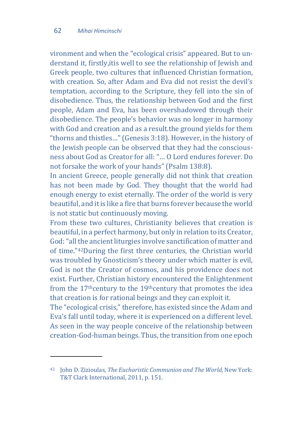<span id="page-13-0"></span>l

vironment and when the "ecological crisis" appeared. But to understand it, firstly,itis well to see the relationship of Jewish and Greek people, two cultures that influenced Christian formation, with creation. So, after Adam and Eva did not resist the devil's temptation, according to the Scripture, they fell into the sin of disobedience. Thus, the relationship between God and the first people, Adam and Eva, has been overshadowed through their disobedience. The people's behavior was no longer in harmony with God and creation and as a result.the ground yields for them "thorns and thistles…" (Genesis 3:18). However, in the history of the Jewish people can be observed that they had the consciousness about God as Creator for all: "… O Lord endures forever. Do not forsake the work of your hands" (Psalm 138:8).

In ancient Greece, people generally did not think that creation has not been made by God. They thought that the world had enough energy to exist eternally. The order of the world is very beautiful, and it is like a fire that burns forever because the world is not static but continuously moving.

From these two cultures, Christianity believes that creation is beautiful, in a perfect harmony, but only in relation to its Creator, God: "all the ancient liturgies involve sanctification of matter and of time."[42D](#page-13-1)uring the first three centuries, the Christian world was troubled by Gnosticism's theory under which matter is evil, God is not the Creator of cosmos, and his providence does not exist. Further, Christian history encountered the Enlightenment from the 17<sup>th</sup>century to the 19<sup>th</sup>century that promotes the idea that creation is for rational beings and they can exploit it.

The "ecological crisis," therefore, has existed since the Adam and Eva's fall until today, where it is experienced on a different level. As seen in the way people conceive of the relationship between creation-God-human beings. Thus, the transition from one epoch

<span id="page-13-1"></span><sup>42</sup> John D. Zizioulas, *The Eucharistic Communion and The World*, New York: T&T Clark International, 2011, p. 151.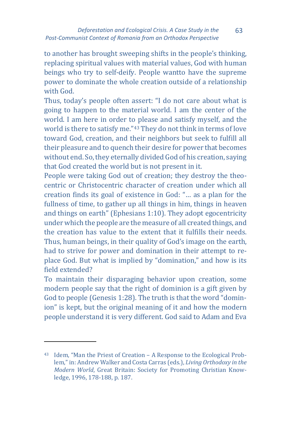to another has brought sweeping shifts in the people's thinking, replacing spiritual values with material values, God with human beings who try to self-deify. People wantto have the supreme power to dominate the whole creation outside of a relationship with God.

Thus, today's people often assert: "I do not care about what is going to happen to the material world. I am the center of the world. I am here in order to please and satisfy myself, and the world is there to satisfy me."[43](#page-14-0) They do not think in terms of love toward God, creation, and their neighbors but seek to fulfill all their pleasure and to quench their desire for power that becomes without end. So, they eternally divided God of his creation, saying that God created the world but is not present in it.

People were taking God out of creation; they destroy the theocentric or Christocentric character of creation under which all creation finds its goal of existence in God: "… as a plan for the fullness of time, to gather up all things in him, things in heaven and things on earth" (Ephesians 1:10). They adopt egocentricity under which the people are the measure of all created things, and the creation has value to the extent that it fulfills their needs. Thus, human beings, in their quality of God's image on the earth, had to strive for power and domination in their attempt to replace God. But what is implied by "domination," and how is its field extended?

To maintain their disparaging behavior upon creation, some modern people say that the right of dominion is a gift given by God to people (Genesis 1:28). The truth is that the word "dominion" is kept, but the original meaning of it and how the modern people understand it is very different. God said to Adam and Eva

<span id="page-14-0"></span><sup>43</sup> Idem, "Man the Priest of Creation – A Response to the Ecological Problem," in: Andrew Walker and Costa Carras (eds.), *Living Orthodoxy in the Modern World*, Great Britain: Society for Promoting Christian Knowledge, 1996, 178-188, p. 187.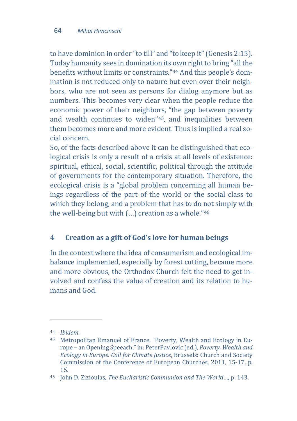to have dominion in order "to till" and "to keep it" (Genesis 2:15). Today humanity sees in domination its own right to bring "all the benefits without limits or constraints."[44](#page-15-0) And this people's domination is not reduced only to nature but even over their neighbors, who are not seen as persons for dialog anymore but as numbers. This becomes very clear when the people reduce the economic power of their neighbors, "the gap between poverty and wealth continues to widen"[45,](#page-15-1) and inequalities between them becomes more and more evident. Thus is implied a real social concern.

So, of the facts described above it can be distinguished that ecological crisis is only a result of a crisis at all levels of existence: spiritual, ethical, social, scientific, political through the attitude of governments for the contemporary situation. Therefore, the ecological crisis is a "global problem concerning all human beings regardless of the part of the world or the social class to which they belong, and a problem that has to do not simply with the well-being but with (…) creation as a whole."[46](#page-15-2)

# **4 Creation as a gift of God's love for human beings**

In the context where the idea of consumerism and ecological imbalance implemented, especially by forest cutting, became more and more obvious, the Orthodox Church felt the need to get involved and confess the value of creation and its relation to humans and God.

 $\overline{\phantom{a}}$ 

<span id="page-15-0"></span><sup>44</sup> *Ibidem*.

<span id="page-15-1"></span><sup>45</sup> Metropolitan Emanuel of France, "Poverty, Wealth and Ecology in Europe – an Opening Speeach," in: PeterPavlovic (ed.), *Poverty, Wealth and Ecology in Europe. Call for Climate Justice*, Brussels: Church and Society Commission of the Conference of European Churches, 2011, 15-17, p.

<span id="page-15-2"></span><sup>15. 46</sup> John D. Zizioulas, *The Eucharistic Communion and The World*…, p. 143.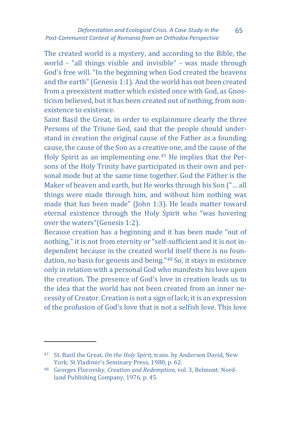The created world is a mystery, and according to the Bible, the world - "all things visible and invisible" - was made through God's free will. "In the beginning when God created the heavens and the earth" (Genesis 1:1). And the world has not been created from a preexistent matter which existed once with God, as Gnosticism believed, but it has been created out of nothing, from nonexistence to existence.

Saint Basil the Great, in order to explainmore clearly the three Persons of the Triune God, said that the people should understand in creation the original cause of the Father as a founding cause, the cause of the Son as a creative one, and the cause of the Holy Spirit as an implementing one.[47](#page-16-0) He implies that the Persons of the Holy Trinity have participated in their own and personal mode but at the same time together. God the Father is the Maker of heaven and earth, but He works through his Son ("… all things were made through him, and without him nothing was made that has been made" (John 1:3). He leads matter toward eternal existence through the Holy Spirit who "was hovering over the waters"(Genesis 1:2).

Because creation has a beginning and it has been made "out of nothing," it is not from eternity or "self-sufficient and it is not independent because in the created world itself there is no foundation, no basis for genesis and being."[48](#page-17-0) So, it stays in existence only in relation with a personal God who manifests his love upon the creation. The presence of God's love in creation leads us to the idea that the world has not been created from an inner necessity of Creator. Creation is not a sign of lack; it is an expression of the profusion of God's love that is not a selfish love. This love

<sup>47</sup> St. Basil the Great, *On the Holy Spirit*, trans. by Anderson David, New York: St Vladimir's Seminary Press, 1980, p. 62.

<span id="page-16-0"></span><sup>48</sup> Georges Florovsky, *Creation and Redemption*, vol. 3, Belmont: Nordland Publishing Company, 1976, p. 45.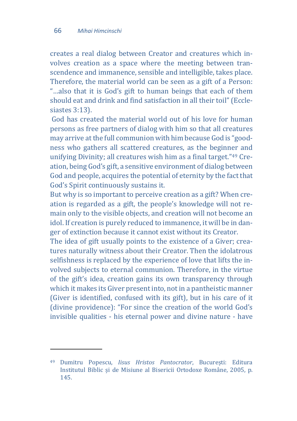<span id="page-17-0"></span>l

creates a real dialog between Creator and creatures which involves creation as a space where the meeting between transcendence and immanence, sensible and intelligible, takes place. Therefore, the material world can be seen as a gift of a Person: "…also that it is God's gift to human beings that each of them should eat and drink and find satisfaction in all their toil" (Ecclesiastes 3:13).

God has created the material world out of his love for human persons as free partners of dialog with him so that all creatures may arrive at the full communion with him because God is "goodness who gathers all scattered creatures, as the beginner and unifying Divinity; all creatures wish him as a final target."[49](#page-17-1) Creation, being God's gift, a sensitive environment of dialog between God and people, acquires the potential of eternity by the fact that God's Spirit continuously sustains it.

But why is so important to perceive creation as a gift? When creation is regarded as a gift, the people's knowledge will not remain only to the visible objects, and creation will not become an idol. If creation is purely reduced to immanence, it will be in danger of extinction because it cannot exist without its Creator.

The idea of gift usually points to the existence of a Giver; creatures naturally witness about their Creator. Then the idolatrous selfishness is replaced by the experience of love that lifts the involved subjects to eternal communion. Therefore, in the virtue of the gift's idea, creation gains its own transparency through which it makes its Giver present into, not in a pantheistic manner (Giver is identified, confused with its gift), but in his care of it (divine providence): "For since the creation of the world God's invisible qualities - his eternal power and divine nature - have

<span id="page-17-1"></span><sup>49</sup> Dumitru Popescu, *Iisus Hristos Pantocrator*, București: Editura Institutul Biblic și de Misiune al Bisericii Ortodoxe Române, 2005, p. 145.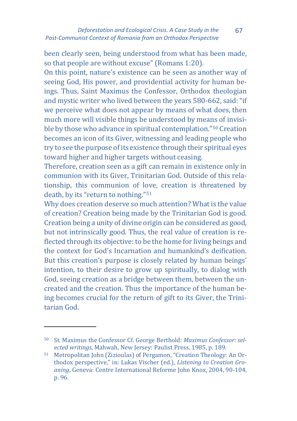been clearly seen, being understood from what has been made, so that people are without excuse" (Romans 1:20).

On this point, nature's existence can be seen as another way of seeing God, His power, and providential activity for human beings. Thus, Saint Maximus the Confessor, Orthodox theologian and mystic writer who lived between the years 580-662, said: "if we perceive what does not appear by means of what does, then much more will visible things be understood by means of invisible by those who advance in spiritual contemplation."[50](#page-18-0) Creation becomes an icon of its Giver, witnessing and leading people who try to see the purpose of its existence through their spiritual eyes toward higher and higher targets without ceasing.

Therefore, creation seen as a gift can remain in existence only in communion with its Giver, Trinitarian God. Outside of this relationship, this communion of love, creation is threatened by death, by its "return to nothing."[51](#page-18-1)

Why does creation deserve so much attention? What is the value of creation? Creation being made by the Trinitarian God is good. Creation being a unity of divine origin can be considered as good, but not intrinsically good. Thus, the real value of creation is reflected through its objective: to be the home for living beings and the context for God's Incarnation and humankind's deification. But this creation's purpose is closely related by human beings' intention, to their desire to grow up spiritually, to dialog with God, seeing creation as a bridge between them, between the uncreated and the creation. Thus the importance of the human being becomes crucial for the return of gift to its Giver, the Trinitarian God.

 $\ddot{\phantom{a}}$ 

<span id="page-18-0"></span><sup>50</sup> St. Maximus the Confessor Cf. George Berthold: *Maximus Confessor: selected writings*, Mahwah, New Jersey: Paulist Press, 1985, p. 189.

<span id="page-18-1"></span><sup>51</sup> Metropolitan John (Zizioulas) of Pergamon, "Creation Theology: An Orthodox perspective," in: Lukas Vischer (ed.), *Listening to Creation Groaning*, Geneva: Centre International Reforme John Knox, 2004, 90-104, p. 96.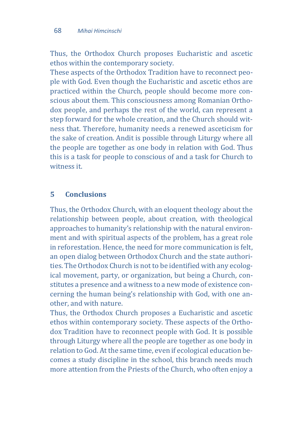Thus, the Orthodox Church proposes Eucharistic and ascetic ethos within the contemporary society.

These aspects of the Orthodox Tradition have to reconnect people with God. Even though the Eucharistic and ascetic ethos are practiced within the Church, people should become more conscious about them. This consciousness among Romanian Orthodox people, and perhaps the rest of the world, can represent a step forward for the whole creation, and the Church should witness that. Therefore, humanity needs a renewed asceticism for the sake of creation. Andit is possible through Liturgy where all the people are together as one body in relation with God. Thus this is a task for people to conscious of and a task for Church to witness it.

## **5 Conclusions**

Thus, the Orthodox Church, with an eloquent theology about the relationship between people, about creation, with theological approaches to humanity's relationship with the natural environment and with spiritual aspects of the problem, has a great role in reforestation. Hence, the need for more communication is felt, an open dialog between Orthodox Church and the state authorities. The Orthodox Church is not to be identified with any ecological movement, party, or organization, but being a Church, constitutes a presence and a witness to a new mode of existence concerning the human being's relationship with God, with one another, and with nature.

Thus, the Orthodox Church proposes a Eucharistic and ascetic ethos within contemporary society. These aspects of the Orthodox Tradition have to reconnect people with God. It is possible through Liturgy where all the people are together as one body in relation to God. At the same time, even if ecological education becomes a study discipline in the school, this branch needs much more attention from the Priests of the Church, who often enjoy a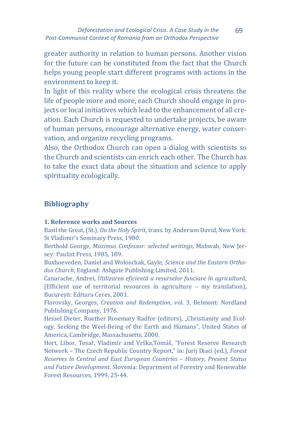greater authority in relation to human persons. Another vision for the future can be constituted from the fact that the Church helps young people start different programs with actions in the environment to keep it.

In light of this reality where the ecological crisis threatens the life of people more and more, each Church should engage in projects or local initiatives which lead to the enhancement of all creation. Each Church is requested to undertake projects, be aware of human persons, encourage alternative energy, water conservation, and organize recycling programs.

Also, the Orthodox Church can open a dialog with scientists so the Church and scientists can enrich each other. The Church has to take the exact data about the situation and science to apply spirituality ecologically.

# **Bibliography**

#### **1. Reference works and Sources**

Basil the Great, (St.), *On the Holy Spirit*, trans. by Anderson David, New York: St Vladimir's Seminary Press, 1980.

Berthold George, *Maximus Confessor: selected writings*, Mahwah, New Jersey: Paulist Press, 1985, 189.

Buxhoeveden, Daniel and Woloschak, Gayle, *Science and the Eastern Orthodox Church*, England: Ashgate Publishing Limited, 2011.

Canarache, Andrei, *Utilizarea eficientă a resurselor funciare în agricultură*, (Efficient use of territorial resources in agriculture – my translation), București: Editura Ceres, 2001.

Florovsky, Georges, *Creation and Redemption*, vol. 3, Belmont: Nordland Publishing Company, 1976.

Hessel Dieter, Ruether Rosemary Radfor (editors), "Christianity and Ecology. Seeking the Weel-Being of the Earth and Humans", United States of America, Cambridge, Massachusetts, 2000.

Hort, Libor, Tesař, Vladimír and Vrška,Tomáš, "Forest Reserve Research Network – The Czech Republic Country Report," in: Jurij Diaci (ed.), *Forest Reserves in Central and East European Countries – History, Present Status and Future Development*, Slovenia: Department of Forestry and Renewable Forest Resources, 1999, 25-44.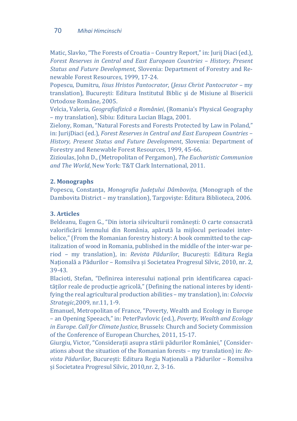#### 70 *Mihai Himcinschi*

Matic, Slavko, "The Forests of Croatia – Country Report," in: Jurij Diaci (ed.), *Forest Reserves in Central and East European Countries - History, Present Status and Future Development*, Slovenia: Department of Forestry and Renewable Forest Resources, 1999, 17-24.

Popescu, Dumitru, *Iisus Hristos Pantocrator*, (*Jesus Christ Pantocrator* – my translation), București: Editura Institutul Biblic și de Misiune al Bisericii Ortodoxe Române, 2005.

Velcia, Valeria, *Geografiafizică a României*, (Romania's Physical Geography – my translation), Sibiu: Editura Lucian Blaga, 2001.

Zielony, Roman, "Natural Forests and Forests Protected by Law in Poland," in: JurijDiaci (ed.), *Forest Reserves in Central and East European Countries – History, Present Status and Future Development*, Slovenia: Department of Forestry and Renewable Forest Resources, 1999, 45-66.

Zizioulas, John D., (Metropolitan of Pergamon), *The Eucharistic Communion and The World*, New York: T&T Clark International, 2011.

#### **2. Monographs**

Popescu, Constanța, *Monografia Județului Dâmbovița*, (Monograph of the Dambovita District – my translation), Targoviște: Editura Biblioteca, 2006.

#### **3. Articles**

Beldeanu, Eugen G., "Din istoria silviculturii românești: O carte consacrată valorificării lemnului din România, apărută la mijlocul perioadei interbelice," (From the Romanian forestry history: A book committed to the capitalization of wood in Romania, published in the middle of the inter-war period – my translation), in: *Revista Pădurilor*, București: Editura Regia Națională a Pădurilor – Romsilva și Societatea Progresul Silvic, 2010, nr. 2, 39-43.

Blacioti, Stefan, "Definirea interesului național prin identificarea capacităților reale de producție agricolă," (Defining the national interes by identifying the real agricultural production abilities – my translation), in: *Colocviu Strategic*,2009, nr.11, 1-9.

Emanuel, Metropolitan of France, "Poverty, Wealth and Ecology in Europe – an Opening Speeach," in: PeterPavlovic (ed.), *Poverty, Wealth and Ecology in Europe. Call for Climate Justice*, Brussels: Church and Society Commission of the Conference of European Churches, 2011, 15-17.

Giurgiu, Victor, "Considerații asupra stării pădurilor României," (Considerations about the situation of the Romanian forests – my translation) in: *Revista Pădurilor*, București: Editura Regia Națională a Pădurilor – Romsilva și Societatea Progresul Silvic, 2010,nr. 2, 3-16.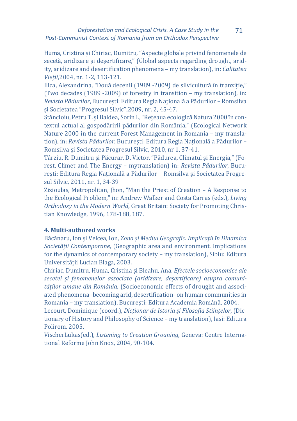#### *Deforestation and Ecological Crisis. A Case Study in the Post-Communist Context of Romania from an Orthodox Perspective* 71

Huma, Cristina și Chiriac, Dumitru, "Aspecte globale privind fenomenele de secetă, aridizare și deșertificare," (Global aspects regarding drought, aridity, aridizare and desertification phenomena – my translation), in: *Calitatea Vieții*,2004, nr. 1-2, 113-121.

Ilica, Alexandrina, "Două decenii (1989 -2009) de silvicultură în tranziție," (Two decades (1989 -2009) of forestry in transition – my translation), in: *Revista Pădurilor*, București: Editura Regia Națională a Pădurilor – Romsilva și Societatea "Progresul Silvic",2009, nr. 2, 45-47.

Stăncioiu, Petru T. și Baldea, Sorin I., "Rețeaua ecologică Natura 2000 în contextul actual al gospodăririi pădurilor din România," (Ecological Network Nature 2000 in the current Forest Management in Romania – my translation), in: *Revista Pădurilor*, București: Editura Regia Națională a Pădurilor – Romsilva și Societatea Progresul Silvic, 2010, nr 1, 37-41.

Târziu, R. Dumitru și Păcurar, D. Victor, "Pădurea, Climatul și Energia," (Forest, Climet and The Energy – mytranslation) in: *Revista Pădurilor*, București: Editura Regia Națională a Pădurilor – Romsilva și Societatea Progresul Silvic, 2011, nr. 1, 34-39

Zizioulas, Metropolitan, Jhon, "Man the Priest of Creation – A Response to the Ecological Problem," in: Andrew Walker and Costa Carras (eds.), *Living Orthodoxy in the Modern World*, Great Britain: Society for Promoting Christian Knowledge, 1996, 178-188, 187.

#### **4. Multi-authored works**

Băcănaru, Ion și Velcea, Ion, *Zona și Mediul Geografic. Implicații în Dinamica Societății Contemporane*, (Geographic area and environment. Implications for the dynamics of contemporary society – my translation), Sibiu: Editura Universității Lucian Blaga, 2003.

Chiriac, Dumitru, Huma, Cristina și Bleahu, Ana, *Efectele socioeconomice ale secetei și fenomenelor associate (aridizare, deșertificare) asupra comunităților umane din România*, (Socioeconomic effects of drought and associated phenomena -becoming arid, desertification- on human communities in Romania – my translation), București: Editura Academia Română, 2004.

Lecourt, Dominique (coord.), *Dicționar de Istoria și Filosofia Stiințelor*, (Dictionary of History and Philosophy of Science – my translation), Iași: Editura Polirom, 2005.

VischerLukas(ed.), *Listening to Creation Groaning*, Geneva: Centre International Reforme John Knox, 2004, 90-104.